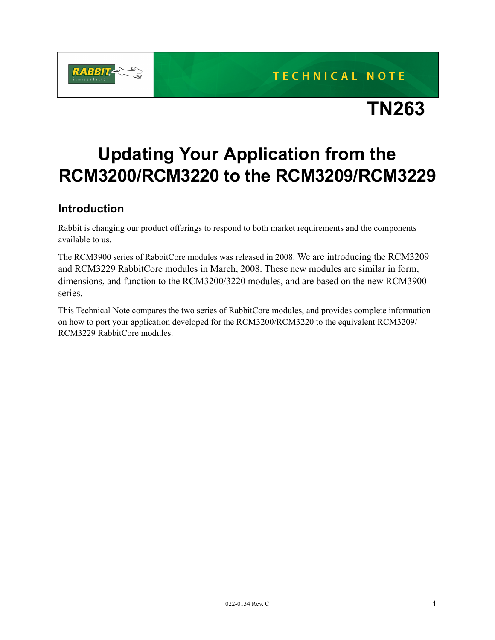

## TECHNICAL NOTE

# **TN263**

## **Updating Your Application from the RCM3200/RCM3220 to the RCM3209/RCM3229**

## **Introduction**

Rabbit is changing our product offerings to respond to both market requirements and the components available to us.

The RCM3900 series of RabbitCore modules was released in 2008. We are introducing the RCM3209 and RCM3229 RabbitCore modules in March, 2008. These new modules are similar in form, dimensions, and function to the RCM3200/3220 modules, and are based on the new RCM3900 series.

This Technical Note compares the two series of RabbitCore modules, and provides complete information on how to port your application developed for the RCM3200/RCM3220 to the equivalent RCM3209/ RCM3229 RabbitCore modules.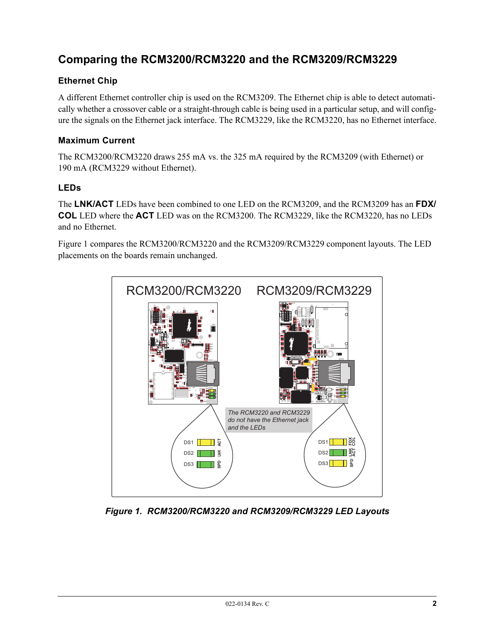## **Comparing the RCM3200/RCM3220 and the RCM3209/RCM3229**

#### **Ethernet Chip**

A different Ethernet controller chip is used on the RCM3209. The Ethernet chip is able to detect automatically whether a crossover cable or a straight-through cable is being used in a particular setup, and will configure the signals on the Ethernet jack interface. The RCM3229, like the RCM3220, has no Ethernet interface.

#### **Maximum Current**

The RCM3200/RCM3220 draws 255 mA vs. the 325 mA required by the RCM3209 (with Ethernet) or 190 mA (RCM3229 without Ethernet).

#### **LEDs**

The **LNK/ACT** LEDs have been combined to one LED on the RCM3209, and the RCM3209 has an **FDX/ COL** LED where the **ACT** LED was on the RCM3200. The RCM3229, like the RCM3220, has no LEDs and no Ethernet.

[Figure 1](#page-1-0) compares the RCM3200/RCM3220 and the RCM3209/RCM3229 component layouts. The LED placements on the boards remain unchanged.



<span id="page-1-0"></span>*Figure 1. RCM3200/RCM3220 and RCM3209/RCM3229 LED Layouts*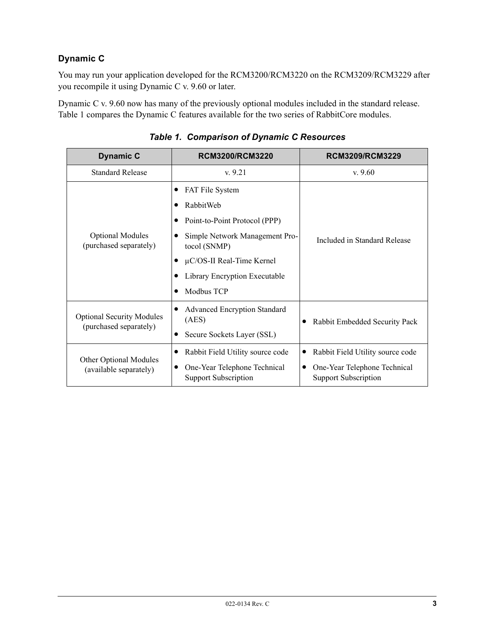#### **Dynamic C**

You may run your application developed for the RCM3200/RCM3220 on the RCM3209/RCM3229 after you recompile it using Dynamic C v. 9.60 or later.

Dynamic C v. 9.60 now has many of the previously optional modules included in the standard release. [Table 1](#page-2-0) compares the Dynamic C features available for the two series of RabbitCore modules.

<span id="page-2-0"></span>

| <b>Dynamic C</b>                                           | <b>RCM3200/RCM3220</b>                                      | RCM3209/RCM3229                                             |  |
|------------------------------------------------------------|-------------------------------------------------------------|-------------------------------------------------------------|--|
| <b>Standard Release</b>                                    | v.9.21                                                      | v.9.60                                                      |  |
| <b>Optional Modules</b><br>(purchased separately)          | <b>FAT File System</b>                                      | Included in Standard Release                                |  |
|                                                            | RabbitWeb                                                   |                                                             |  |
|                                                            | Point-to-Point Protocol (PPP)                               |                                                             |  |
|                                                            | Simple Network Management Pro-<br>tocol (SNMP)              |                                                             |  |
|                                                            | $\mu$ C/OS-II Real-Time Kernel                              |                                                             |  |
|                                                            | Library Encryption Executable                               |                                                             |  |
|                                                            | Modbus TCP                                                  |                                                             |  |
| <b>Optional Security Modules</b><br>(purchased separately) | <b>Advanced Encryption Standard</b><br>(AES)                | Rabbit Embedded Security Pack                               |  |
|                                                            | Secure Sockets Layer (SSL)                                  |                                                             |  |
| Other Optional Modules<br>(available separately)           | Rabbit Field Utility source code                            | Rabbit Field Utility source code                            |  |
|                                                            | One-Year Telephone Technical<br><b>Support Subscription</b> | One-Year Telephone Technical<br><b>Support Subscription</b> |  |

*Table 1. Comparison of Dynamic C Resources*